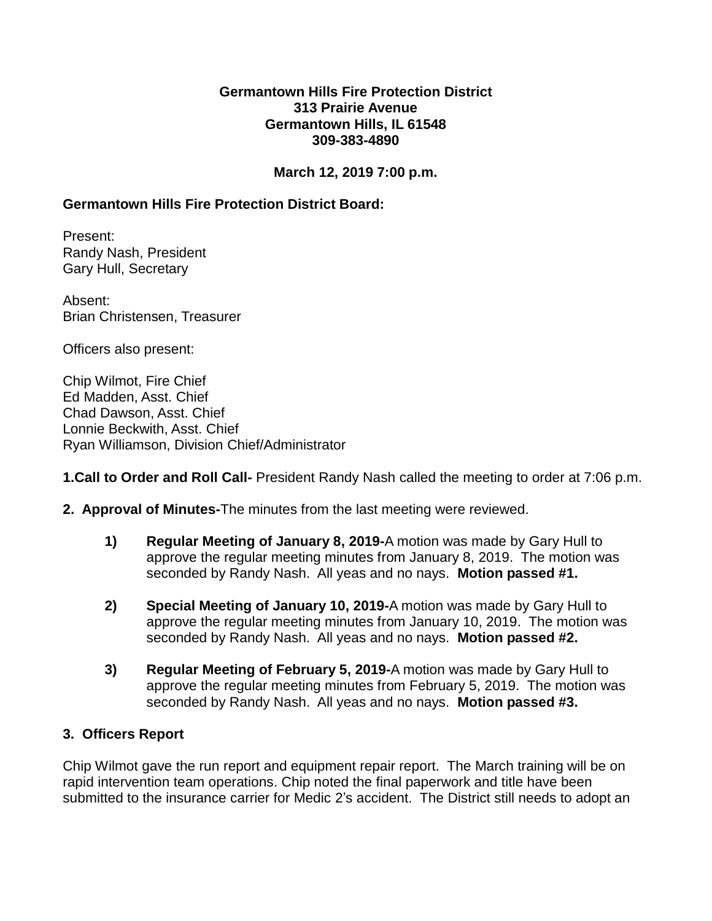### **Germantown Hills Fire Protection District 313 Prairie Avenue Germantown Hills, IL 61548 309-383-4890**

# **March 12, 2019 7:00 p.m.**

# **Germantown Hills Fire Protection District Board:**

Present: Randy Nash, President Gary Hull, Secretary

Absent: Brian Christensen, Treasurer

Officers also present:

Chip Wilmot, Fire Chief Ed Madden, Asst. Chief Chad Dawson, Asst. Chief Lonnie Beckwith, Asst. Chief Ryan Williamson, Division Chief/Administrator

**1.Call to Order and Roll Call-** President Randy Nash called the meeting to order at 7:06 p.m.

- **2. Approval of Minutes-**The minutes from the last meeting were reviewed.
	- **1) Regular Meeting of January 8, 2019-**A motion was made by Gary Hull to approve the regular meeting minutes from January 8, 2019. The motion was seconded by Randy Nash. All yeas and no nays. **Motion passed #1.**
	- **2) Special Meeting of January 10, 2019-**A motion was made by Gary Hull to approve the regular meeting minutes from January 10, 2019. The motion was seconded by Randy Nash. All yeas and no nays. **Motion passed #2.**
	- **3) Regular Meeting of February 5, 2019-**A motion was made by Gary Hull to approve the regular meeting minutes from February 5, 2019. The motion was seconded by Randy Nash. All yeas and no nays. **Motion passed #3.**

## **3. Officers Report**

Chip Wilmot gave the run report and equipment repair report. The March training will be on rapid intervention team operations. Chip noted the final paperwork and title have been submitted to the insurance carrier for Medic 2's accident. The District still needs to adopt an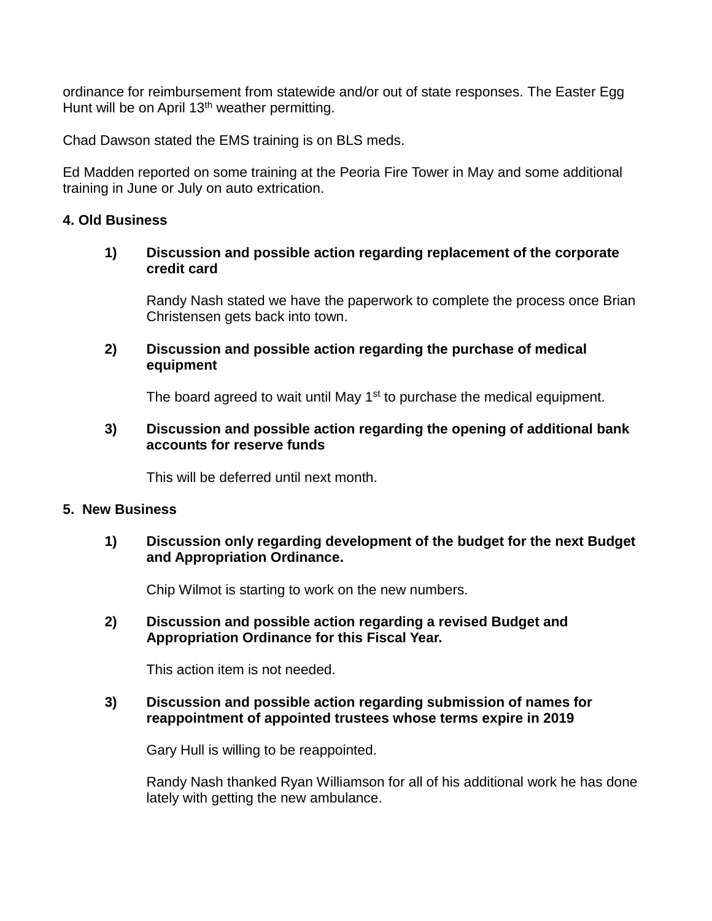ordinance for reimbursement from statewide and/or out of state responses. The Easter Egg Hunt will be on April 13<sup>th</sup> weather permitting.

Chad Dawson stated the EMS training is on BLS meds.

Ed Madden reported on some training at the Peoria Fire Tower in May and some additional training in June or July on auto extrication.

#### **4. Old Business**

### **1) Discussion and possible action regarding replacement of the corporate credit card**

Randy Nash stated we have the paperwork to complete the process once Brian Christensen gets back into town.

### **2) Discussion and possible action regarding the purchase of medical equipment**

The board agreed to wait until May 1<sup>st</sup> to purchase the medical equipment.

### **3) Discussion and possible action regarding the opening of additional bank accounts for reserve funds**

This will be deferred until next month.

#### **5. New Business**

## **1) Discussion only regarding development of the budget for the next Budget and Appropriation Ordinance.**

Chip Wilmot is starting to work on the new numbers.

## **2) Discussion and possible action regarding a revised Budget and Appropriation Ordinance for this Fiscal Year.**

This action item is not needed.

## **3) Discussion and possible action regarding submission of names for reappointment of appointed trustees whose terms expire in 2019**

Gary Hull is willing to be reappointed.

Randy Nash thanked Ryan Williamson for all of his additional work he has done lately with getting the new ambulance.